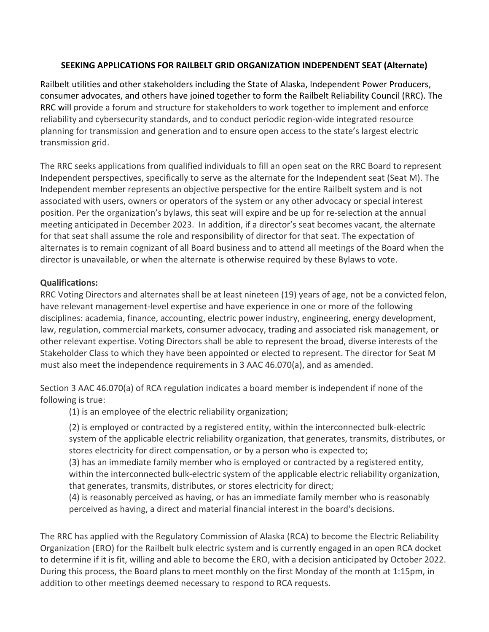## **SEEKING APPLICATIONS FOR RAILBELT GRID ORGANIZATION INDEPENDENT SEAT (Alternate)**

Railbelt utilities and other stakeholders including the State of Alaska, Independent Power Producers, consumer advocates, and others have joined together to form the Railbelt Reliability Council (RRC). The RRC will provide a forum and structure for stakeholders to work together to implement and enforce reliability and cybersecurity standards, and to conduct periodic region-wide integrated resource planning for transmission and generation and to ensure open access to the state's largest electric transmission grid.

The RRC seeks applications from qualified individuals to fill an open seat on the RRC Board to represent Independent perspectives, specifically to serve as the alternate for the Independent seat (Seat M). The Independent member represents an objective perspective for the entire Railbelt system and is not associated with users, owners or operators of the system or any other advocacy or special interest position. Per the organization's bylaws, this seat will expire and be up for re-selection at the annual meeting anticipated in December 2023. In addition, if a director's seat becomes vacant, the alternate for that seat shall assume the role and responsibility of director for that seat. The expectation of alternates is to remain cognizant of all Board business and to attend all meetings of the Board when the director is unavailable, or when the alternate is otherwise required by these Bylaws to vote.

## **Qualifications:**

RRC Voting Directors and alternates shall be at least nineteen (19) years of age, not be a convicted felon, have relevant management-level expertise and have experience in one or more of the following disciplines: academia, finance, accounting, electric power industry, engineering, energy development, law, regulation, commercial markets, consumer advocacy, trading and associated risk management, or other relevant expertise. Voting Directors shall be able to represent the broad, diverse interests of the Stakeholder Class to which they have been appointed or elected to represent. The director for Seat M must also meet the independence requirements in 3 AAC 46.070(a), and as amended.

Section 3 AAC 46.070(a) of RCA regulation indicates a board member is independent if none of the following is true:

(1) is an employee of the electric reliability organization;

(2) is employed or contracted by a registered entity, within the interconnected bulk-electric system of the applicable electric reliability organization, that generates, transmits, distributes, or stores electricity for direct compensation, or by a person who is expected to;

(3) has an immediate family member who is employed or contracted by a registered entity, within the interconnected bulk-electric system of the applicable electric reliability organization, that generates, transmits, distributes, or stores electricity for direct;

(4) is reasonably perceived as having, or has an immediate family member who is reasonably perceived as having, a direct and material financial interest in the board's decisions.

The RRC has applied with the Regulatory Commission of Alaska (RCA) to become the Electric Reliability Organization (ERO) for the Railbelt bulk electric system and is currently engaged in an open RCA docket to determine if it is fit, willing and able to become the ERO, with a decision anticipated by October 2022. During this process, the Board plans to meet monthly on the first Monday of the month at 1:15pm, in addition to other meetings deemed necessary to respond to RCA requests.